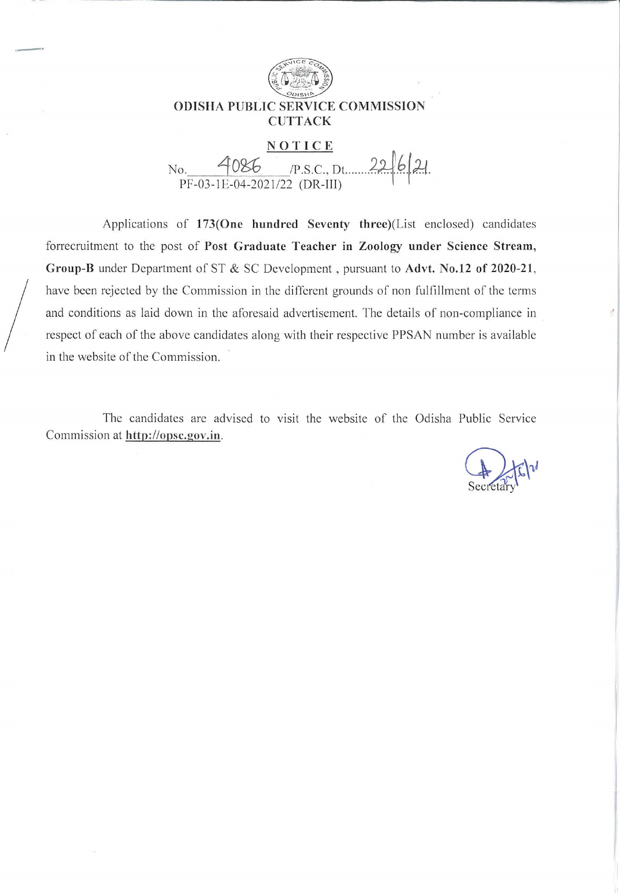

Applications of 173(One hundred Seventy three)(List enclosed) candidates forrecruitment to the post of Post Graduate Teacher in Zoology under Science Stream, Group-B under Department of ST & SC Development, pursuant to Advt. No.12 of 2020-21, have been rejected by the Commission in the different grounds of non fulfillment of the terms and conditions as laid down in the aforesaid advertisement. The details of non-compliance in respect of each of the above candidates along with their respective PPSAN number is available in the website of the Commission.

The candidates are advised to visit the website of the Odisha Public Service Commission at http://opsc.gov.in.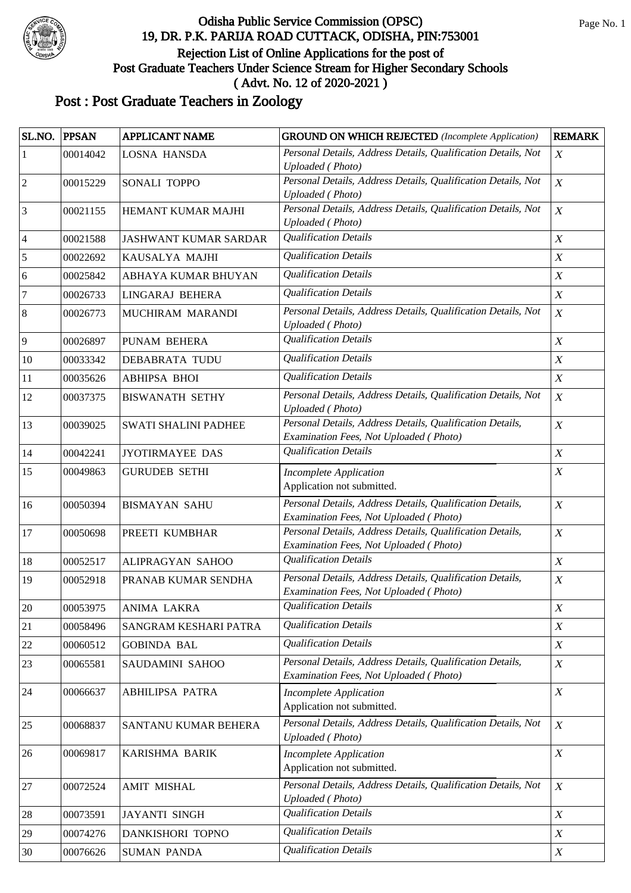

| SL.NO.         | <b>PPSAN</b> | <b>APPLICANT NAME</b>        | <b>GROUND ON WHICH REJECTED</b> (Incomplete Application)                                            | <b>REMARK</b>    |
|----------------|--------------|------------------------------|-----------------------------------------------------------------------------------------------------|------------------|
| 1              | 00014042     | <b>LOSNA HANSDA</b>          | Personal Details, Address Details, Qualification Details, Not                                       | $\boldsymbol{X}$ |
|                |              |                              | <b>Uploaded</b> (Photo)                                                                             |                  |
| $\sqrt{2}$     | 00015229     | SONALI TOPPO                 | Personal Details, Address Details, Qualification Details, Not<br><b>Uploaded</b> (Photo)            | $\boldsymbol{X}$ |
| $\mathfrak{Z}$ | 00021155     | HEMANT KUMAR MAJHI           | Personal Details, Address Details, Qualification Details, Not                                       | $\boldsymbol{X}$ |
|                |              |                              | <b>Uploaded</b> (Photo)                                                                             |                  |
| $\overline{4}$ | 00021588     | <b>JASHWANT KUMAR SARDAR</b> | <b>Qualification Details</b>                                                                        | $\boldsymbol{X}$ |
| 5              | 00022692     | KAUSALYA MAJHI               | <b>Qualification Details</b>                                                                        | $\boldsymbol{X}$ |
| 6              | 00025842     | ABHAYA KUMAR BHUYAN          | <b>Qualification Details</b>                                                                        | $\boldsymbol{X}$ |
| $\overline{7}$ | 00026733     | LINGARAJ BEHERA              | <b>Qualification Details</b>                                                                        | $\boldsymbol{X}$ |
| $\,8\,$        | 00026773     | MUCHIRAM MARANDI             | Personal Details, Address Details, Qualification Details, Not<br><b>Uploaded</b> (Photo)            | $\boldsymbol{X}$ |
| $\overline{9}$ | 00026897     | PUNAM BEHERA                 | <b>Qualification Details</b>                                                                        | $\boldsymbol{X}$ |
| 10             | 00033342     | <b>DEBABRATA TUDU</b>        | <b>Qualification Details</b>                                                                        | $\boldsymbol{X}$ |
| 11             | 00035626     | <b>ABHIPSA BHOI</b>          | <b>Qualification Details</b>                                                                        | $\boldsymbol{X}$ |
| 12             | 00037375     | <b>BISWANATH SETHY</b>       | Personal Details, Address Details, Qualification Details, Not<br><b>Uploaded</b> (Photo)            | $\boldsymbol{X}$ |
| 13             | 00039025     | <b>SWATI SHALINI PADHEE</b>  | Personal Details, Address Details, Qualification Details,<br>Examination Fees, Not Uploaded (Photo) | $\boldsymbol{X}$ |
| 14             | 00042241     | <b>JYOTIRMAYEE DAS</b>       | <b>Qualification Details</b>                                                                        | $\boldsymbol{X}$ |
| 15             | 00049863     | <b>GURUDEB SETHI</b>         | <b>Incomplete Application</b><br>Application not submitted.                                         | $\boldsymbol{X}$ |
| 16             | 00050394     | <b>BISMAYAN SAHU</b>         | Personal Details, Address Details, Qualification Details,<br>Examination Fees, Not Uploaded (Photo) | $\boldsymbol{X}$ |
| 17             | 00050698     | PREETI KUMBHAR               | Personal Details, Address Details, Qualification Details,<br>Examination Fees, Not Uploaded (Photo) | $\boldsymbol{X}$ |
| 18             | 00052517     | ALIPRAGYAN SAHOO             | <b>Qualification Details</b>                                                                        | $\boldsymbol{X}$ |
| 19             | 00052918     | PRANAB KUMAR SENDHA          | Personal Details, Address Details, Qualification Details,<br>Examination Fees, Not Uploaded (Photo) | $\boldsymbol{X}$ |
| $20\,$         | 00053975     | ANIMA LAKRA                  | <b>Qualification Details</b>                                                                        | $\boldsymbol{X}$ |
| 21             | 00058496     | SANGRAM KESHARI PATRA        | <b>Qualification Details</b>                                                                        | $\boldsymbol{X}$ |
| 22             | 00060512     | <b>GOBINDA BAL</b>           | <b>Qualification Details</b>                                                                        | $\boldsymbol{X}$ |
| 23             | 00065581     | SAUDAMINI SAHOO              | Personal Details, Address Details, Qualification Details,<br>Examination Fees, Not Uploaded (Photo) | $\boldsymbol{X}$ |
| 24             | 00066637     | <b>ABHILIPSA PATRA</b>       | <b>Incomplete Application</b><br>Application not submitted.                                         | $\boldsymbol{X}$ |
| 25             | 00068837     | SANTANU KUMAR BEHERA         | Personal Details, Address Details, Qualification Details, Not<br>Uploaded (Photo)                   | X                |
| 26             | 00069817     | KARISHMA BARIK               | <b>Incomplete Application</b><br>Application not submitted.                                         | $\boldsymbol{X}$ |
| $27\,$         | 00072524     | <b>AMIT MISHAL</b>           | Personal Details, Address Details, Qualification Details, Not<br><b>Uploaded</b> (Photo)            | $\boldsymbol{X}$ |
| $28\,$         | 00073591     | <b>JAYANTI SINGH</b>         | <b>Qualification Details</b>                                                                        | $\boldsymbol{X}$ |
| 29             | 00074276     | DANKISHORI TOPNO             | <b>Qualification Details</b>                                                                        | $\boldsymbol{X}$ |
| $30\,$         | 00076626     | <b>SUMAN PANDA</b>           | <b>Qualification Details</b>                                                                        | $\boldsymbol{X}$ |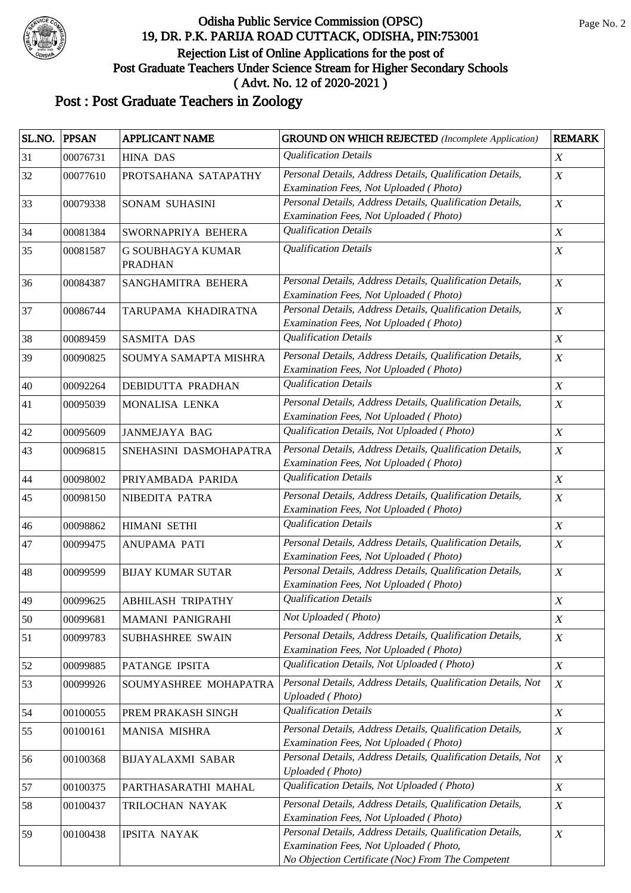

| SL.NO. | <b>PPSAN</b> | <b>APPLICANT NAME</b>               | <b>GROUND ON WHICH REJECTED</b> (Incomplete Application)                                                                                                 | <b>REMARK</b>    |
|--------|--------------|-------------------------------------|----------------------------------------------------------------------------------------------------------------------------------------------------------|------------------|
| 31     | 00076731     | <b>HINA DAS</b>                     | <b>Qualification Details</b>                                                                                                                             | $\boldsymbol{X}$ |
| 32     | 00077610     | PROTSAHANA SATAPATHY                | Personal Details, Address Details, Qualification Details,<br>Examination Fees, Not Uploaded (Photo)                                                      | X                |
| 33     | 00079338     | <b>SONAM SUHASINI</b>               | Personal Details, Address Details, Qualification Details,<br>Examination Fees, Not Uploaded (Photo)                                                      | $\boldsymbol{X}$ |
| 34     | 00081384     | SWORNAPRIYA BEHERA                  | <b>Qualification Details</b>                                                                                                                             | $\boldsymbol{X}$ |
| 35     | 00081587     | G SOUBHAGYA KUMAR<br><b>PRADHAN</b> | <b>Qualification Details</b>                                                                                                                             | $\boldsymbol{X}$ |
| 36     | 00084387     | SANGHAMITRA BEHERA                  | Personal Details, Address Details, Qualification Details,<br>Examination Fees, Not Uploaded (Photo)                                                      | $\boldsymbol{X}$ |
| 37     | 00086744     | TARUPAMA KHADIRATNA                 | Personal Details, Address Details, Qualification Details,<br>Examination Fees, Not Uploaded (Photo)                                                      | $\boldsymbol{X}$ |
| 38     | 00089459     | <b>SASMITA DAS</b>                  | <b>Qualification Details</b>                                                                                                                             | $\boldsymbol{X}$ |
| 39     | 00090825     | SOUMYA SAMAPTA MISHRA               | Personal Details, Address Details, Qualification Details,<br>Examination Fees, Not Uploaded (Photo)                                                      | $\boldsymbol{X}$ |
| 40     | 00092264     | <b>DEBIDUTTA PRADHAN</b>            | <b>Qualification Details</b>                                                                                                                             | $\boldsymbol{X}$ |
| 41     | 00095039     | MONALISA LENKA                      | Personal Details, Address Details, Qualification Details,<br>Examination Fees, Not Uploaded (Photo)                                                      | $\boldsymbol{X}$ |
| 42     | 00095609     | <b>JANMEJAYA BAG</b>                | Qualification Details, Not Uploaded (Photo)                                                                                                              | $\boldsymbol{X}$ |
| 43     | 00096815     | SNEHASINI DASMOHAPATRA              | Personal Details, Address Details, Qualification Details,<br>Examination Fees, Not Uploaded (Photo)                                                      | $\boldsymbol{X}$ |
| 44     | 00098002     | PRIYAMBADA PARIDA                   | <b>Qualification Details</b>                                                                                                                             | $\boldsymbol{X}$ |
| 45     | 00098150     | NIBEDITA PATRA                      | Personal Details, Address Details, Qualification Details,<br>Examination Fees, Not Uploaded (Photo)                                                      | $\boldsymbol{X}$ |
| 46     | 00098862     | <b>HIMANI SETHI</b>                 | <b>Qualification Details</b>                                                                                                                             | $\boldsymbol{X}$ |
| 47     | 00099475     | ANUPAMA PATI                        | Personal Details, Address Details, Qualification Details,<br>Examination Fees, Not Uploaded (Photo)                                                      | $\boldsymbol{X}$ |
| 48     | 00099599     | <b>BIJAY KUMAR SUTAR</b>            | Personal Details, Address Details, Qualification Details,<br>Examination Fees, Not Uploaded (Photo)                                                      | $\boldsymbol{X}$ |
| 49     | 00099625     | ABHILASH TRIPATHY                   | <b>Qualification Details</b>                                                                                                                             | $\boldsymbol{X}$ |
| 50     | 00099681     | <b>MAMANI PANIGRAHI</b>             | Not Uploaded (Photo)                                                                                                                                     | $\boldsymbol{X}$ |
| 51     | 00099783     | <b>SUBHASHREE SWAIN</b>             | Personal Details, Address Details, Qualification Details,<br>Examination Fees, Not Uploaded (Photo)                                                      | $\boldsymbol{X}$ |
| 52     | 00099885     | PATANGE IPSITA                      | Qualification Details, Not Uploaded (Photo)                                                                                                              | $\boldsymbol{X}$ |
| 53     | 00099926     | SOUMYASHREE MOHAPATRA               | Personal Details, Address Details, Qualification Details, Not<br><b>Uploaded</b> (Photo)                                                                 | $\boldsymbol{X}$ |
| 54     | 00100055     | PREM PRAKASH SINGH                  | <b>Qualification Details</b>                                                                                                                             | $\boldsymbol{X}$ |
| 55     | 00100161     | MANISA MISHRA                       | Personal Details, Address Details, Qualification Details,<br>Examination Fees, Not Uploaded (Photo)                                                      | $\boldsymbol{X}$ |
| 56     | 00100368     | <b>BIJAYALAXMI SABAR</b>            | Personal Details, Address Details, Qualification Details, Not<br><b>Uploaded</b> (Photo)                                                                 | $\boldsymbol{X}$ |
| 57     | 00100375     | PARTHASARATHI MAHAL                 | Qualification Details, Not Uploaded (Photo)                                                                                                              | $\boldsymbol{X}$ |
| 58     | 00100437     | TRILOCHAN NAYAK                     | Personal Details, Address Details, Qualification Details,<br>Examination Fees, Not Uploaded (Photo)                                                      | $\boldsymbol{X}$ |
| 59     | 00100438     | <b>IPSITA NAYAK</b>                 | Personal Details, Address Details, Qualification Details,<br>Examination Fees, Not Uploaded (Photo,<br>No Objection Certificate (Noc) From The Competent | $\boldsymbol{X}$ |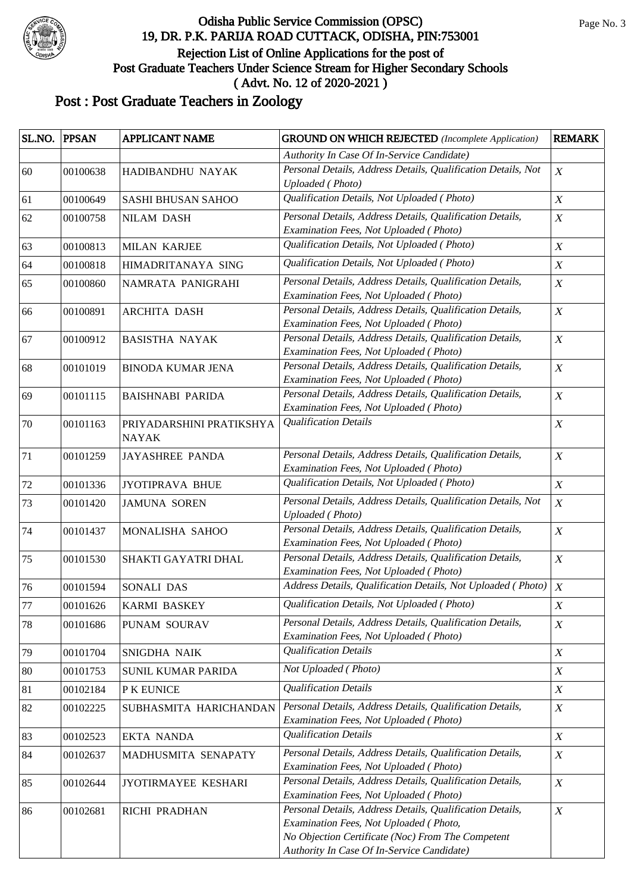

| SL.NO. | <b>PPSAN</b> | APPLICANT NAME                           | <b>GROUND ON WHICH REJECTED</b> (Incomplete Application)                                                                                                                                               | <b>REMARK</b>    |
|--------|--------------|------------------------------------------|--------------------------------------------------------------------------------------------------------------------------------------------------------------------------------------------------------|------------------|
|        |              |                                          | Authority In Case Of In-Service Candidate)                                                                                                                                                             |                  |
| 60     | 00100638     | HADIBANDHU NAYAK                         | Personal Details, Address Details, Qualification Details, Not<br><b>Uploaded</b> (Photo)                                                                                                               | $\boldsymbol{X}$ |
| 61     | 00100649     | SASHI BHUSAN SAHOO                       | Qualification Details, Not Uploaded (Photo)                                                                                                                                                            | $\boldsymbol{X}$ |
| 62     | 00100758     | <b>NILAM DASH</b>                        | Personal Details, Address Details, Qualification Details,<br>Examination Fees, Not Uploaded (Photo)                                                                                                    | $\boldsymbol{X}$ |
| 63     | 00100813     | <b>MILAN KARJEE</b>                      | Qualification Details, Not Uploaded (Photo)                                                                                                                                                            | $\boldsymbol{X}$ |
| 64     | 00100818     | HIMADRITANAYA SING                       | Qualification Details, Not Uploaded (Photo)                                                                                                                                                            | $\boldsymbol{X}$ |
| 65     | 00100860     | NAMRATA PANIGRAHI                        | Personal Details, Address Details, Qualification Details,<br>Examination Fees, Not Uploaded (Photo)                                                                                                    | $\boldsymbol{X}$ |
| 66     | 00100891     | <b>ARCHITA DASH</b>                      | Personal Details, Address Details, Qualification Details,<br>Examination Fees, Not Uploaded (Photo)                                                                                                    | $\boldsymbol{X}$ |
| 67     | 00100912     | <b>BASISTHA NAYAK</b>                    | Personal Details, Address Details, Qualification Details,<br>Examination Fees, Not Uploaded (Photo)                                                                                                    | $\boldsymbol{X}$ |
| 68     | 00101019     | <b>BINODA KUMAR JENA</b>                 | Personal Details, Address Details, Qualification Details,<br>Examination Fees, Not Uploaded (Photo)                                                                                                    | $\boldsymbol{X}$ |
| 69     | 00101115     | <b>BAISHNABI PARIDA</b>                  | Personal Details, Address Details, Qualification Details,<br>Examination Fees, Not Uploaded (Photo)                                                                                                    | $\boldsymbol{X}$ |
| 70     | 00101163     | PRIYADARSHINI PRATIKSHYA<br><b>NAYAK</b> | <b>Qualification Details</b>                                                                                                                                                                           | $\boldsymbol{X}$ |
| 71     | 00101259     | <b>JAYASHREE PANDA</b>                   | Personal Details, Address Details, Qualification Details,<br>Examination Fees, Not Uploaded (Photo)                                                                                                    | $\boldsymbol{X}$ |
| 72     | 00101336     | JYOTIPRAVA BHUE                          | Qualification Details, Not Uploaded (Photo)                                                                                                                                                            | $\boldsymbol{X}$ |
| 73     | 00101420     | <b>JAMUNA SOREN</b>                      | Personal Details, Address Details, Qualification Details, Not<br><b>Uploaded</b> (Photo)                                                                                                               | $\boldsymbol{X}$ |
| 74     | 00101437     | MONALISHA SAHOO                          | Personal Details, Address Details, Qualification Details,<br>Examination Fees, Not Uploaded (Photo)                                                                                                    | $\boldsymbol{X}$ |
| 75     | 00101530     | SHAKTI GAYATRI DHAL                      | Personal Details, Address Details, Qualification Details,<br>Examination Fees, Not Uploaded (Photo)                                                                                                    | $\boldsymbol{X}$ |
| 76     | 00101594     | SONALI DAS                               | Address Details, Qualification Details, Not Uploaded (Photo)                                                                                                                                           | $\boldsymbol{X}$ |
| 77     | 00101626     | KARMI BASKEY                             | Qualification Details, Not Uploaded (Photo)                                                                                                                                                            | $\boldsymbol{X}$ |
| 78     | 00101686     | PUNAM SOURAV                             | Personal Details, Address Details, Qualification Details,<br>Examination Fees, Not Uploaded (Photo)                                                                                                    | $\boldsymbol{X}$ |
| 79     | 00101704     | SNIGDHA NAIK                             | <b>Qualification Details</b>                                                                                                                                                                           | X                |
| 80     | 00101753     | <b>SUNIL KUMAR PARIDA</b>                | Not Uploaded (Photo)                                                                                                                                                                                   | X                |
| 81     | 00102184     | P K EUNICE                               | <b>Qualification Details</b>                                                                                                                                                                           | $\boldsymbol{X}$ |
| 82     | 00102225     | SUBHASMITA HARICHANDAN                   | Personal Details, Address Details, Qualification Details,<br>Examination Fees, Not Uploaded (Photo)                                                                                                    | $\boldsymbol{X}$ |
| 83     | 00102523     | <b>EKTA NANDA</b>                        | <b>Qualification Details</b>                                                                                                                                                                           | $\boldsymbol{X}$ |
| 84     | 00102637     | MADHUSMITA SENAPATY                      | Personal Details, Address Details, Qualification Details,<br>Examination Fees, Not Uploaded (Photo)                                                                                                    | X                |
| 85     | 00102644     | JYOTIRMAYEE KESHARI                      | Personal Details, Address Details, Qualification Details,<br>Examination Fees, Not Uploaded (Photo)                                                                                                    | $\boldsymbol{X}$ |
| 86     | 00102681     | RICHI PRADHAN                            | Personal Details, Address Details, Qualification Details,<br>Examination Fees, Not Uploaded (Photo,<br>No Objection Certificate (Noc) From The Competent<br>Authority In Case Of In-Service Candidate) | $\boldsymbol{X}$ |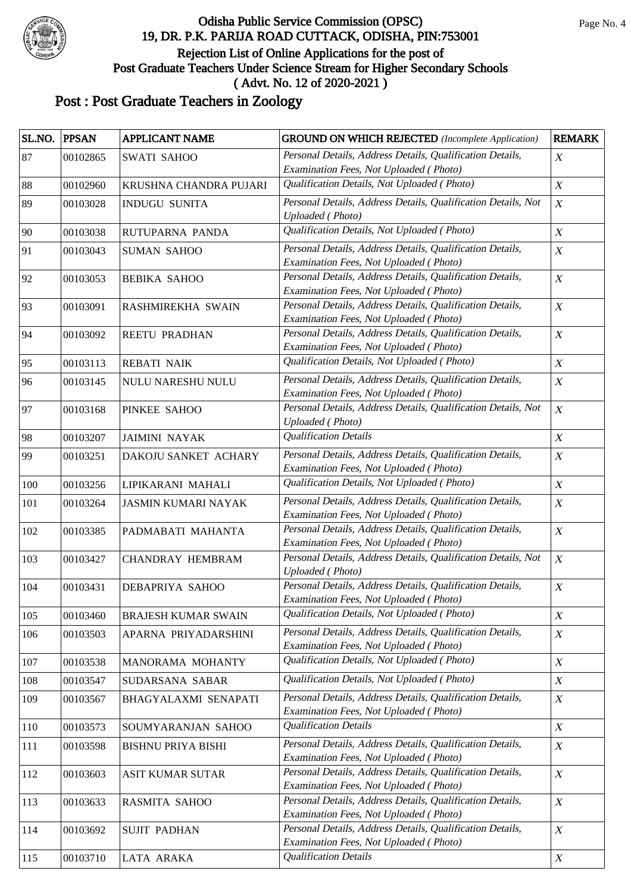

| SL.NO. | <b>PPSAN</b> | APPLICANT NAME             | <b>GROUND ON WHICH REJECTED</b> (Incomplete Application)                                            | <b>REMARK</b>    |
|--------|--------------|----------------------------|-----------------------------------------------------------------------------------------------------|------------------|
| 87     | 00102865     | <b>SWATI SAHOO</b>         | Personal Details, Address Details, Qualification Details,                                           | X                |
|        |              |                            | Examination Fees, Not Uploaded (Photo)                                                              |                  |
| 88     | 00102960     | KRUSHNA CHANDRA PUJARI     | Qualification Details, Not Uploaded (Photo)                                                         | $\boldsymbol{X}$ |
| 89     | 00103028     | <b>INDUGU SUNITA</b>       | Personal Details, Address Details, Qualification Details, Not<br><b>Uploaded</b> (Photo)            | $\boldsymbol{X}$ |
| 90     | 00103038     | RUTUPARNA PANDA            | Qualification Details, Not Uploaded (Photo)                                                         | $\boldsymbol{X}$ |
| 91     | 00103043     | <b>SUMAN SAHOO</b>         | Personal Details, Address Details, Qualification Details,                                           | $\boldsymbol{X}$ |
|        |              |                            | Examination Fees, Not Uploaded (Photo)                                                              |                  |
| 92     | 00103053     | <b>BEBIKA SAHOO</b>        | Personal Details, Address Details, Qualification Details,                                           | $\boldsymbol{X}$ |
|        |              |                            | Examination Fees, Not Uploaded (Photo)                                                              |                  |
| 93     | 00103091     | RASHMIREKHA SWAIN          | Personal Details, Address Details, Qualification Details,<br>Examination Fees, Not Uploaded (Photo) | $\boldsymbol{X}$ |
| 94     | 00103092     | <b>REETU PRADHAN</b>       | Personal Details, Address Details, Qualification Details,                                           | $\boldsymbol{X}$ |
|        |              |                            | Examination Fees, Not Uploaded (Photo)                                                              |                  |
| 95     | 00103113     | <b>REBATI NAIK</b>         | Qualification Details, Not Uploaded (Photo)                                                         | $\boldsymbol{X}$ |
| 96     | 00103145     | NULU NARESHU NULU          | Personal Details, Address Details, Qualification Details,                                           | $\boldsymbol{X}$ |
|        |              |                            | Examination Fees, Not Uploaded (Photo)                                                              |                  |
| 97     | 00103168     | PINKEE SAHOO               | Personal Details, Address Details, Qualification Details, Not                                       | $\boldsymbol{X}$ |
|        |              |                            | <b>Uploaded</b> (Photo)                                                                             |                  |
| 98     | 00103207     | <b>JAIMINI NAYAK</b>       | <b>Qualification Details</b>                                                                        | $\boldsymbol{X}$ |
| 99     | 00103251     | DAKOJU SANKET ACHARY       | Personal Details, Address Details, Qualification Details,<br>Examination Fees, Not Uploaded (Photo) | $\boldsymbol{X}$ |
| 100    | 00103256     | LIPIKARANI MAHALI          | Qualification Details, Not Uploaded (Photo)                                                         | $\boldsymbol{X}$ |
|        |              |                            |                                                                                                     |                  |
| 101    | 00103264     | <b>JASMIN KUMARI NAYAK</b> | Personal Details, Address Details, Qualification Details,<br>Examination Fees, Not Uploaded (Photo) | $\boldsymbol{X}$ |
| 102    | 00103385     | PADMABATI MAHANTA          | Personal Details, Address Details, Qualification Details,                                           | $\boldsymbol{X}$ |
|        |              |                            | Examination Fees, Not Uploaded (Photo)                                                              |                  |
| 103    | 00103427     | <b>CHANDRAY HEMBRAM</b>    | Personal Details, Address Details, Qualification Details, Not                                       | $\boldsymbol{X}$ |
|        |              |                            | <b>Uploaded</b> (Photo)                                                                             |                  |
| 104    | 00103431     | DEBAPRIYA SAHOO            | Personal Details, Address Details, Qualification Details,                                           | $\boldsymbol{X}$ |
|        |              |                            | Examination Fees, Not Uploaded (Photo)                                                              |                  |
| 105    | 00103460     | <b>BRAJESH KUMAR SWAIN</b> | Qualification Details, Not Uploaded (Photo)                                                         | $\boldsymbol{X}$ |
| 106    | 00103503     | APARNA PRIYADARSHINI       | Personal Details, Address Details, Qualification Details,                                           | $\boldsymbol{X}$ |
|        |              |                            | Examination Fees, Not Uploaded (Photo)<br>Qualification Details, Not Uploaded (Photo)               |                  |
| 107    | 00103538     | MANORAMA MOHANTY           |                                                                                                     | $\boldsymbol{X}$ |
| 108    | 00103547     | SUDARSANA SABAR            | Qualification Details, Not Uploaded (Photo)                                                         | $\boldsymbol{X}$ |
| 109    | 00103567     | BHAGYALAXMI SENAPATI       | Personal Details, Address Details, Qualification Details,<br>Examination Fees, Not Uploaded (Photo) | $\boldsymbol{X}$ |
| 110    | 00103573     | SOUMYARANJAN SAHOO         | <b>Qualification Details</b>                                                                        | $\boldsymbol{X}$ |
| 111    | 00103598     | <b>BISHNU PRIYA BISHI</b>  | Personal Details, Address Details, Qualification Details,                                           | $\boldsymbol{X}$ |
|        |              |                            | Examination Fees, Not Uploaded (Photo)                                                              |                  |
| 112    | 00103603     | <b>ASIT KUMAR SUTAR</b>    | Personal Details, Address Details, Qualification Details,                                           | $\boldsymbol{X}$ |
|        |              |                            | Examination Fees, Not Uploaded (Photo)                                                              |                  |
| 113    | 00103633     | RASMITA SAHOO              | Personal Details, Address Details, Qualification Details,                                           | $\boldsymbol{X}$ |
|        |              |                            | Examination Fees, Not Uploaded (Photo)                                                              |                  |
| 114    | 00103692     | <b>SUJIT PADHAN</b>        | Personal Details, Address Details, Qualification Details,                                           | $\boldsymbol{X}$ |
|        |              |                            | Examination Fees, Not Uploaded (Photo)                                                              |                  |
| 115    | 00103710     | LATA ARAKA                 | <b>Qualification Details</b>                                                                        | X                |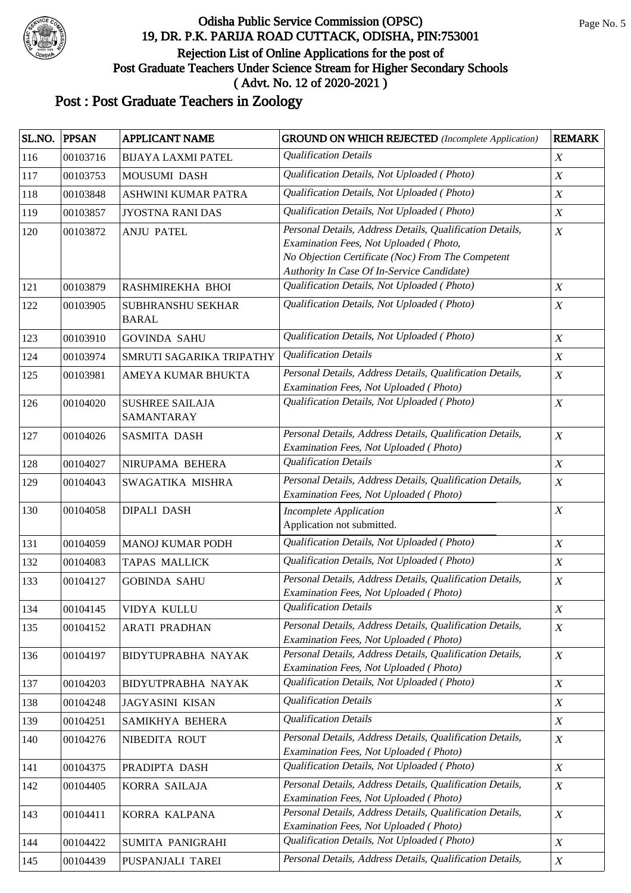

| SL.NO. | <b>PPSAN</b> | <b>APPLICANT NAME</b>                | <b>GROUND ON WHICH REJECTED</b> (Incomplete Application)                                                                                                                                               | <b>REMARK</b>    |
|--------|--------------|--------------------------------------|--------------------------------------------------------------------------------------------------------------------------------------------------------------------------------------------------------|------------------|
| 116    | 00103716     | <b>BIJAYA LAXMI PATEL</b>            | <b>Qualification Details</b>                                                                                                                                                                           | $\boldsymbol{X}$ |
| 117    | 00103753     | <b>MOUSUMI DASH</b>                  | Qualification Details, Not Uploaded (Photo)                                                                                                                                                            | $\boldsymbol{X}$ |
| 118    | 00103848     | ASHWINI KUMAR PATRA                  | Qualification Details, Not Uploaded (Photo)                                                                                                                                                            | $\boldsymbol{X}$ |
| 119    | 00103857     | <b>JYOSTNA RANI DAS</b>              | Qualification Details, Not Uploaded (Photo)                                                                                                                                                            | $\boldsymbol{X}$ |
| 120    | 00103872     | <b>ANJU PATEL</b>                    | Personal Details, Address Details, Qualification Details,<br>Examination Fees, Not Uploaded (Photo,<br>No Objection Certificate (Noc) From The Competent<br>Authority In Case Of In-Service Candidate) | $\boldsymbol{X}$ |
| 121    | 00103879     | RASHMIREKHA BHOI                     | Qualification Details, Not Uploaded (Photo)                                                                                                                                                            | $\boldsymbol{X}$ |
| 122    | 00103905     | SUBHRANSHU SEKHAR<br><b>BARAL</b>    | Qualification Details, Not Uploaded (Photo)                                                                                                                                                            | $\boldsymbol{X}$ |
| 123    | 00103910     | <b>GOVINDA SAHU</b>                  | Qualification Details, Not Uploaded (Photo)                                                                                                                                                            | $\boldsymbol{X}$ |
| 124    | 00103974     | SMRUTI SAGARIKA TRIPATHY             | <b>Qualification Details</b>                                                                                                                                                                           | $\boldsymbol{X}$ |
| 125    | 00103981     | AMEYA KUMAR BHUKTA                   | Personal Details, Address Details, Qualification Details,<br>Examination Fees, Not Uploaded (Photo)                                                                                                    | $\boldsymbol{X}$ |
| 126    | 00104020     | <b>SUSHREE SAILAJA</b><br>SAMANTARAY | Qualification Details, Not Uploaded (Photo)                                                                                                                                                            | $\boldsymbol{X}$ |
| 127    | 00104026     | <b>SASMITA DASH</b>                  | Personal Details, Address Details, Qualification Details,<br>Examination Fees, Not Uploaded (Photo)                                                                                                    | $\boldsymbol{X}$ |
| 128    | 00104027     | NIRUPAMA BEHERA                      | <b>Qualification Details</b>                                                                                                                                                                           | $\boldsymbol{X}$ |
| 129    | 00104043     | SWAGATIKA MISHRA                     | Personal Details, Address Details, Qualification Details,<br>Examination Fees, Not Uploaded (Photo)                                                                                                    | $\boldsymbol{X}$ |
| 130    | 00104058     | <b>DIPALI DASH</b>                   | Incomplete Application<br>Application not submitted.                                                                                                                                                   | $\boldsymbol{X}$ |
| 131    | 00104059     | <b>MANOJ KUMAR PODH</b>              | Qualification Details, Not Uploaded (Photo)                                                                                                                                                            | $\boldsymbol{X}$ |
| 132    | 00104083     | <b>TAPAS MALLICK</b>                 | Qualification Details, Not Uploaded (Photo)                                                                                                                                                            | $\boldsymbol{X}$ |
| 133    | 00104127     | <b>GOBINDA SAHU</b>                  | Personal Details, Address Details, Qualification Details,<br>Examination Fees, Not Uploaded (Photo)                                                                                                    | $\boldsymbol{X}$ |
| 134    | 00104145     | <b>VIDYA KULLU</b>                   | <b>Qualification Details</b>                                                                                                                                                                           | $\boldsymbol{X}$ |
| 135    | 00104152     | <b>ARATI PRADHAN</b>                 | Personal Details, Address Details, Qualification Details,<br>Examination Fees, Not Uploaded (Photo)                                                                                                    | X                |
| 136    | 00104197     | BIDYTUPRABHA NAYAK                   | Personal Details, Address Details, Qualification Details,<br>Examination Fees, Not Uploaded (Photo)                                                                                                    | $\boldsymbol{X}$ |
| 137    | 00104203     | <b>BIDYUTPRABHA NAYAK</b>            | Qualification Details, Not Uploaded (Photo)                                                                                                                                                            | X                |
| 138    | 00104248     | <b>JAGYASINI KISAN</b>               | <b>Qualification Details</b>                                                                                                                                                                           | $\boldsymbol{X}$ |
| 139    | 00104251     | SAMIKHYA BEHERA                      | <b>Qualification Details</b>                                                                                                                                                                           | $\boldsymbol{X}$ |
| 140    | 00104276     | NIBEDITA ROUT                        | Personal Details, Address Details, Qualification Details,<br>Examination Fees, Not Uploaded (Photo)                                                                                                    | $\boldsymbol{X}$ |
| 141    | 00104375     | PRADIPTA DASH                        | Qualification Details, Not Uploaded (Photo)                                                                                                                                                            | $\boldsymbol{X}$ |
| 142    | 00104405     | KORRA SAILAJA                        | Personal Details, Address Details, Qualification Details,<br>Examination Fees, Not Uploaded (Photo)                                                                                                    | X                |
| 143    | 00104411     | KORRA KALPANA                        | Personal Details, Address Details, Qualification Details,<br>Examination Fees, Not Uploaded (Photo)                                                                                                    | $\boldsymbol{X}$ |
| 144    | 00104422     | SUMITA PANIGRAHI                     | Qualification Details, Not Uploaded (Photo)                                                                                                                                                            | $\boldsymbol{X}$ |
| 145    | 00104439     | PUSPANJALI TAREI                     | Personal Details, Address Details, Qualification Details,                                                                                                                                              | $\boldsymbol{X}$ |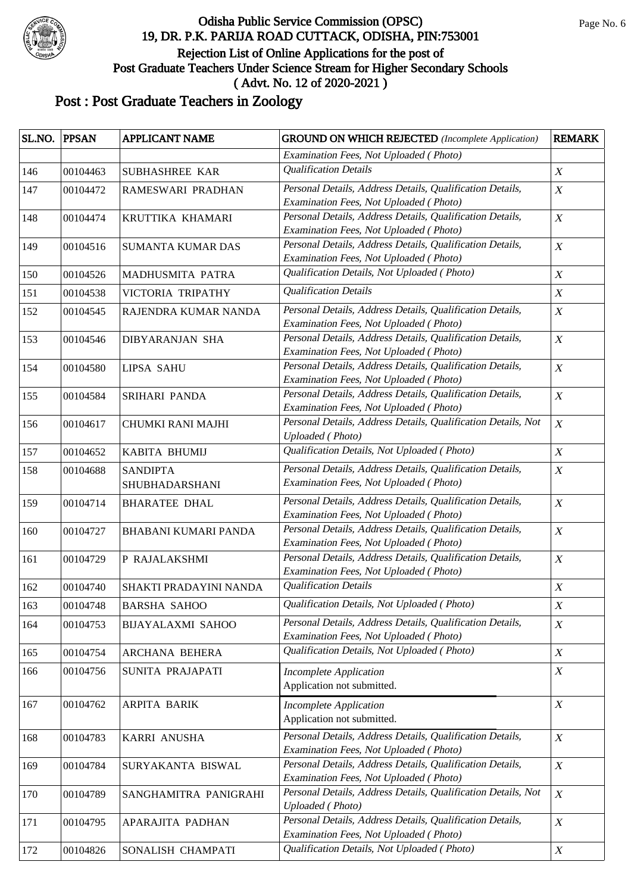

| SL.NO. | <b>PPSAN</b> | APPLICANT NAME           | <b>GROUND ON WHICH REJECTED</b> (Incomplete Application)                                            | <b>REMARK</b>    |
|--------|--------------|--------------------------|-----------------------------------------------------------------------------------------------------|------------------|
|        |              |                          | Examination Fees, Not Uploaded (Photo)                                                              |                  |
| 146    | 00104463     | SUBHASHREE KAR           | <b>Qualification Details</b>                                                                        | $\boldsymbol{X}$ |
| 147    | 00104472     | RAMESWARI PRADHAN        | Personal Details, Address Details, Qualification Details,                                           | $\boldsymbol{X}$ |
|        |              |                          | Examination Fees, Not Uploaded (Photo)                                                              |                  |
| 148    | 00104474     | KRUTTIKA KHAMARI         | Personal Details, Address Details, Qualification Details,                                           | $\boldsymbol{X}$ |
|        |              |                          | Examination Fees, Not Uploaded (Photo)                                                              |                  |
| 149    | 00104516     | <b>SUMANTA KUMAR DAS</b> | Personal Details, Address Details, Qualification Details,                                           | $\boldsymbol{X}$ |
|        |              |                          | Examination Fees, Not Uploaded (Photo)<br>Qualification Details, Not Uploaded (Photo)               |                  |
| 150    | 00104526     | MADHUSMITA PATRA         |                                                                                                     | $\boldsymbol{X}$ |
| 151    | 00104538     | VICTORIA TRIPATHY        | <b>Qualification Details</b>                                                                        | $\boldsymbol{X}$ |
| 152    | 00104545     | RAJENDRA KUMAR NANDA     | Personal Details, Address Details, Qualification Details,                                           | $\boldsymbol{X}$ |
|        |              |                          | Examination Fees, Not Uploaded (Photo)                                                              |                  |
| 153    | 00104546     | <b>DIBYARANJAN SHA</b>   | Personal Details, Address Details, Qualification Details,                                           | $\boldsymbol{X}$ |
|        |              |                          | Examination Fees, Not Uploaded (Photo)<br>Personal Details, Address Details, Qualification Details, |                  |
| 154    | 00104580     | <b>LIPSA SAHU</b>        | Examination Fees, Not Uploaded (Photo)                                                              | $\boldsymbol{X}$ |
| 155    | 00104584     | SRIHARI PANDA            | Personal Details, Address Details, Qualification Details,                                           | $\boldsymbol{X}$ |
|        |              |                          | Examination Fees, Not Uploaded (Photo)                                                              |                  |
| 156    | 00104617     | CHUMKI RANI MAJHI        | Personal Details, Address Details, Qualification Details, Not                                       | $\boldsymbol{X}$ |
|        |              |                          | Uploaded (Photo)                                                                                    |                  |
| 157    | 00104652     | KABITA BHUMIJ            | Qualification Details, Not Uploaded (Photo)                                                         | $\boldsymbol{X}$ |
| 158    | 00104688     | <b>SANDIPTA</b>          | Personal Details, Address Details, Qualification Details,                                           | $\boldsymbol{X}$ |
|        |              | SHUBHADARSHANI           | Examination Fees, Not Uploaded (Photo)                                                              |                  |
| 159    | 00104714     | <b>BHARATEE DHAL</b>     | Personal Details, Address Details, Qualification Details,                                           | $\boldsymbol{X}$ |
|        |              |                          | Examination Fees, Not Uploaded (Photo)                                                              |                  |
| 160    | 00104727     | BHABANI KUMARI PANDA     | Personal Details, Address Details, Qualification Details,                                           | $\boldsymbol{X}$ |
|        |              |                          | Examination Fees, Not Uploaded (Photo)                                                              |                  |
| 161    | 00104729     | P RAJALAKSHMI            | Personal Details, Address Details, Qualification Details,                                           | $\boldsymbol{X}$ |
|        |              |                          | Examination Fees, Not Uploaded (Photo)                                                              |                  |
| 162    | 00104740     | SHAKTI PRADAYINI NANDA   | <b>Qualification Details</b>                                                                        | $\boldsymbol{X}$ |
| 163    | 00104748     | <b>BARSHA SAHOO</b>      | Qualification Details, Not Uploaded (Photo)                                                         | $\boldsymbol{X}$ |
| 164    | 00104753     | <b>BIJAYALAXMI SAHOO</b> | Personal Details, Address Details, Qualification Details,                                           | $\boldsymbol{X}$ |
|        |              |                          | Examination Fees, Not Uploaded (Photo)                                                              |                  |
| 165    | 00104754     | ARCHANA BEHERA           | Qualification Details, Not Uploaded (Photo)                                                         | $\boldsymbol{X}$ |
| 166    | 00104756     | SUNITA PRAJAPATI         | <b>Incomplete Application</b>                                                                       | $\boldsymbol{X}$ |
|        |              |                          | Application not submitted.                                                                          |                  |
| 167    | 00104762     | ARPITA BARIK             | <b>Incomplete Application</b>                                                                       | X                |
|        |              |                          | Application not submitted.                                                                          |                  |
| 168    | 00104783     | KARRI ANUSHA             | Personal Details, Address Details, Qualification Details,                                           | $\boldsymbol{X}$ |
|        |              |                          | Examination Fees, Not Uploaded (Photo)                                                              |                  |
| 169    | 00104784     | SURYAKANTA BISWAL        | Personal Details, Address Details, Qualification Details,                                           | $\boldsymbol{X}$ |
|        |              |                          | Examination Fees, Not Uploaded (Photo)                                                              |                  |
| 170    | 00104789     | SANGHAMITRA PANIGRAHI    | Personal Details, Address Details, Qualification Details, Not                                       | $\boldsymbol{X}$ |
|        |              |                          | <b>Uploaded</b> (Photo)                                                                             |                  |
| 171    | 00104795     | APARAJITA PADHAN         | Personal Details, Address Details, Qualification Details,                                           | $\boldsymbol{X}$ |
|        |              |                          | Examination Fees, Not Uploaded (Photo)                                                              |                  |
| 172    | 00104826     | SONALISH CHAMPATI        | Qualification Details, Not Uploaded (Photo)                                                         | $\boldsymbol{X}$ |